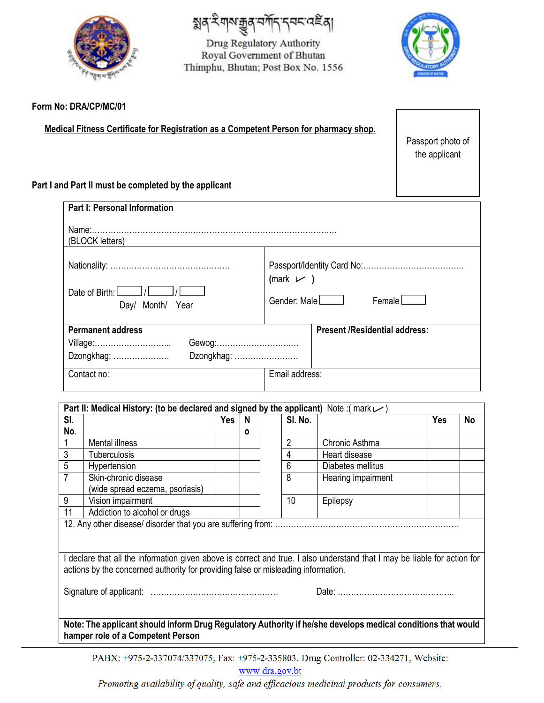

য়ঀ৾ৼয়৸য়৾৶ৼয়৾ঢ়৴ৼ৸ৼ৻ড়ৢঀ

Drug Regulatory Authority Royal Government of Bhutan Thimphu, Bhutan; Post Box No. 1556



Passport photo of the applicant

## **Form No: DRA/CP/MC/01**

**Medical Fitness Certificate for Registration as a Competent Person for pharmacy shop.**

**Part I and Part II must be completed by the applicant**

| <b>Part I: Personal Information</b>                |                                                   |  |  |
|----------------------------------------------------|---------------------------------------------------|--|--|
| (BLOCK letters)                                    |                                                   |  |  |
|                                                    |                                                   |  |  |
| Date of Birth: $\Box$ / $\Box$<br>Day/ Month/ Year | (mark $\nu$ )<br>Gender: Male<br>$F$ emale $\Box$ |  |  |
| <b>Permanent address</b>                           | <b>Present /Residential address:</b>              |  |  |
| Gewog:<br>Village:                                 |                                                   |  |  |
| Dzongkhag:<br>Dzongkhag:                           |                                                   |  |  |
| Contact no:                                        | Email address:                                    |  |  |
|                                                    |                                                   |  |  |

| SI.                                                                                                                     | Part II: Medical History: (to be declared and signed by the applicant) Note: (mark $\nu$ ) | <b>Yes</b> | N |  | SI. No.        |                    | <b>Yes</b> | No |
|-------------------------------------------------------------------------------------------------------------------------|--------------------------------------------------------------------------------------------|------------|---|--|----------------|--------------------|------------|----|
| No.                                                                                                                     |                                                                                            |            | O |  |                |                    |            |    |
|                                                                                                                         | <b>Mental illness</b>                                                                      |            |   |  | $\overline{2}$ | Chronic Asthma     |            |    |
| 3                                                                                                                       | Tuberculosis                                                                               |            |   |  | 4              | Heart disease      |            |    |
| 5                                                                                                                       | Hypertension                                                                               |            |   |  | 6              | Diabetes mellitus  |            |    |
| $\overline{7}$                                                                                                          | Skin-chronic disease                                                                       |            |   |  | 8              | Hearing impairment |            |    |
|                                                                                                                         | (wide spread eczema, psoriasis)                                                            |            |   |  |                |                    |            |    |
| 9                                                                                                                       | Vision impairment                                                                          |            |   |  | 10             | Epilepsy           |            |    |
| 11                                                                                                                      | Addiction to alcohol or drugs                                                              |            |   |  |                |                    |            |    |
|                                                                                                                         |                                                                                            |            |   |  |                |                    |            |    |
|                                                                                                                         |                                                                                            |            |   |  |                |                    |            |    |
|                                                                                                                         |                                                                                            |            |   |  |                |                    |            |    |
| declare that all the information given above is correct and true. I also understand that I may be liable for action for |                                                                                            |            |   |  |                |                    |            |    |
| actions by the concerned authority for providing false or misleading information.                                       |                                                                                            |            |   |  |                |                    |            |    |
|                                                                                                                         |                                                                                            |            |   |  |                |                    |            |    |
|                                                                                                                         |                                                                                            |            |   |  |                |                    |            |    |
|                                                                                                                         |                                                                                            |            |   |  |                |                    |            |    |
|                                                                                                                         |                                                                                            |            |   |  |                |                    |            |    |
| Note: The applicant should inform Drug Regulatory Authority if he/she develops medical conditions that would            |                                                                                            |            |   |  |                |                    |            |    |
| hamper role of a Competent Person                                                                                       |                                                                                            |            |   |  |                |                    |            |    |

PABX: +975-2-337074/337075, Fax: +975-2-335803. Drug Controller: 02-334271, Website:

www.dra.gov.bt

Promoting availability of quality, safe and efficacious medicinal products for consumers.